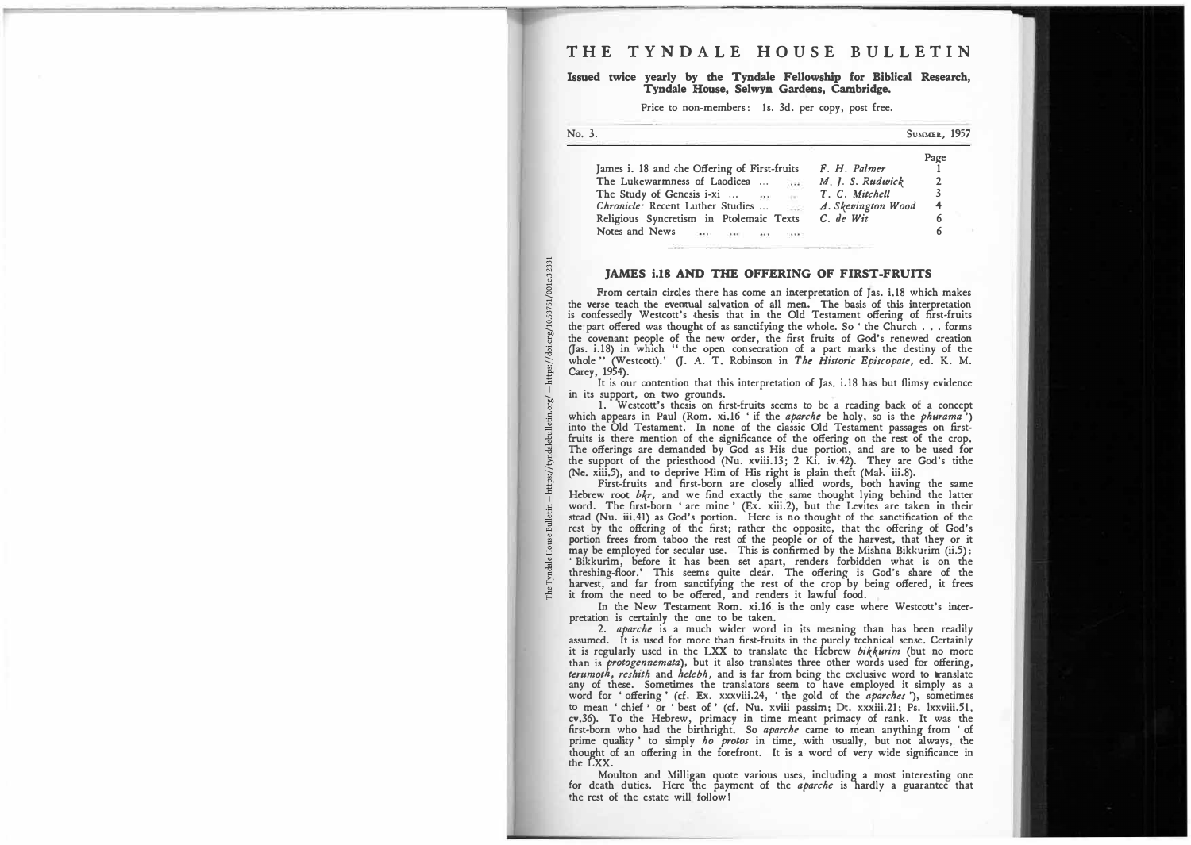## **Issued twice yearly by the Tyndale Fellowship for Biblical Research, Tyndale House, Selwyn Gardens, Cambridge.**

**Price to non-members: ls. 3d. per copy, post free.** 

| No. 3.                                                                            |                       | <b>SUMMER, 1957</b> |
|-----------------------------------------------------------------------------------|-----------------------|---------------------|
|                                                                                   |                       | Page                |
| James i. 18 and the Offering of First-fruits                                      | F. H. Palmer          |                     |
| The Lukewarmness of Laodicea<br>$\left\langle \bullet\bullet\bullet\right\rangle$ | $M$ . $J. S. Rudwick$ |                     |
| The Study of Genesis i-xi<br>$1.6\,\mathrm{W}^{-1}$                               | T. C. Mitchell        |                     |
| Chronicle: Recent Luther Studies<br>$\sim$                                        | A. Skevington Wood    | 4                   |
| Religious Syncretism in Ptolemaic Texts                                           | $C.$ de Wit           | 6                   |
| Notes and News                                                                    |                       |                     |

## **JAMES i.18 AND THE OFFERING OF FIRST-FRUITS**

From certain circles there has come an interpretation of Jas. i.18 which makes the verse teach the eventual salvation of all men. The basis of this interpretation is confessedly Westcott's thesis that in the Old Testament offering of first-fruits **the part offered was thought of as sanctifying the whole. So ' the Church ... forms the covenant people of the new order, the first fruits of God's renewed creation (Jas. i.18) in which "the open consecration of a part marks the destiny of the whole" (Westcott).' (J. A. T. Robinson in** *The Historic Episcopate,* **ed. K. M. Carey, 1954).** 

**It is our contention that this interpretation of Jas. i.18 has but flimsy evidence**  in its support, on two grounds.<br> **1.** Westcott's thesis on first-fruits seems to be a reading back of a concept

which appears in Paul (Rom. xi.16 ' if the *aparche* be holy, so is the *phurama*") into the Old Testament. In none of the classic Old Testament passages on first-<br>fruits is there mention of the significance of the offerin **The offerings are demanded by God as His due portion, and are to be used for the support of the priesthood (Nu. xviii.13; 2 Ki. iv.42). They are God's tithe (Ne. xiii.5), and to deprive Him of His right is plain theft (Ma!·. iii.8).** 

First-fruits and first-born are closely allied words, both having the same<br>Hebrew root  $bkr$ , and we find exactly the same thought lying behind the latter<br>word. The first-born 'are mine' (Ex. xiii.2), but the Levites are t **stead (Nu. iii.41) as God's portion. Here is no thought of the sanctification of the**  rest by the offering of the first; rather the opposite, that the offering of God's<br>portion frees from taboo the rest of the people or of the harvest, that they or it<br>may be employed for secular use. This is confirmed by th 'Bikkurim, before it has been set apart, renders forbidden what is on the threshing-floor.' This seems quite clear. The offering is God's share of the harvest, and far from sanctifying the rest of the crop by being offered

**In the New Testament Rom. xi.16. is the only case where Westcott's interpretation is certainly the one to be taken.** 

**2.** *aparche* **is a much wider word in its meaning than· has been readily assumed. It is used for more than first-fruits in the purely technical sense. Certainly it is regularly used in the LXX to translate the Hebrew** *bikkurim* **(but no more than is** *rotogennemata),* **but it also translates three other words used for offering,** terumoth, reshith and helebh, and is far from being the exclusive word to translate<br>any of these. Sometimes the translators seem to have employed it simply as a<br>word for 'offering' (cf. Ex. xxxviii.24, 'the gold of the *ap* **cv.36). To the Hebrew, primacy in time meant primacy of rank. It was the first-born who had the birthright. So** *aparche* **came to mean anything from ' of**  prime quality ' to simply *ho protos* in time, with usually, but not always, the thought of an offering in the forefront. It is a word of very wide significance in **the LXX.** 

**Moulton and Milligan quote various uses, including a most interesting one for death duties. Here the payment of the** *aparche* **is hardly a guarantee that the rest of the estate will follow I**